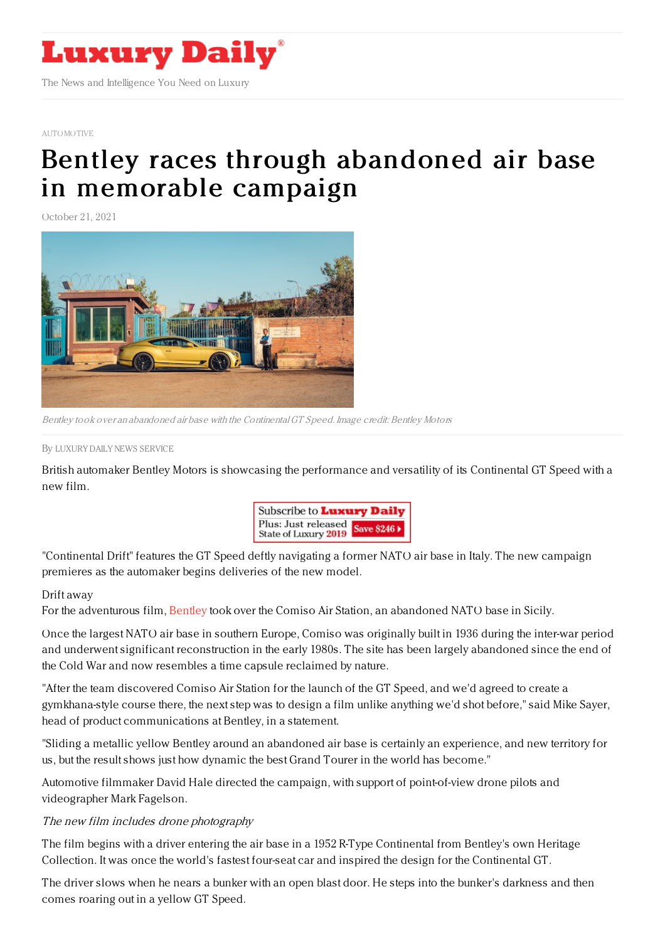

## [AUTOMOTIVE](https://www.luxurydaily.com/category/sectors/automotive-industry-sectors/)

## Bentley races through abandoned air base in [memorable](https://www.luxurydaily.com/bentley-gt-speed-sicily/) campaign

October 21, 2021



Bentley took over an abandoned air base with the ContinentalGT Speed. Image credit: Bentley Motors

By LUXURY DAILY NEWS [SERVICE](file:///author/luxury-daily-news-service)

British automaker Bentley Motors is showcasing the performance and versatility of its Continental GT Speed with a new film.



"Continental Drift" features the GT Speed deftly navigating a former NATO air base in Italy. The new campaign premieres as the automaker begins deliveries of the new model.

## Drift away

For the adventurous film, [Bentley](https://www.bentleymotors.com/en.html) took over the Comiso Air Station, an abandoned NATO base in Sicily.

Once the largest NATO air base in southern Europe, Comiso was originally built in 1936 during the inter-war period and underwent significant reconstruction in the early 1980s. The site has been largely abandoned since the end of the Cold War and now resembles a time capsule reclaimed by nature.

"After the team discovered Comiso Air Station for the launch of the GT Speed, and we'd agreed to create a gymkhana-style course there, the next step was to design a film unlike anything we'd shot before," said Mike Sayer, head of product communications at Bentley, in a statement.

"Sliding a metallic yellow Bentley around an abandoned air base is certainly an experience, and new territory for us, but the result shows just how dynamic the best Grand Tourer in the world has become."

Automotive filmmaker David Hale directed the campaign, with support of point-of-view drone pilots and videographer Mark Fagelson.

## The new film includes drone photography

The film begins with a driver entering the air base in a 1952 R-Type Continental from Bentley's own Heritage Collection. It was once the world's fastest four-seat car and inspired the design for the Continental GT.

The driver slows when he nears a bunker with an open blast door. He steps into the bunker's darkness and then comes roaring out in a yellow GT Speed.